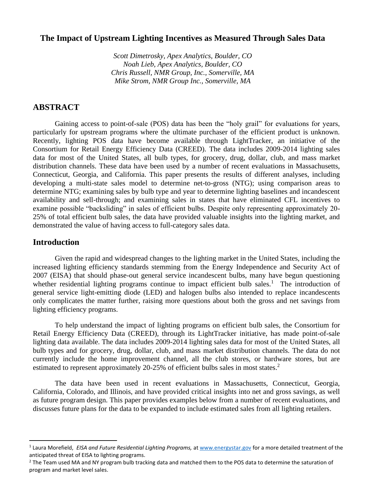# **The Impact of Upstream Lighting Incentives as Measured Through Sales Data**

*Scott Dimetrosky, Apex Analytics, Boulder, CO Noah Lieb, Apex Analytics, Boulder, CO Chris Russell, NMR Group, Inc., Somerville, MA Mike Strom, NMR Group Inc., Somerville, MA*

# **ABSTRACT**

Gaining access to point-of-sale (POS) data has been the "holy grail" for evaluations for years, particularly for upstream programs where the ultimate purchaser of the efficient product is unknown. Recently, lighting POS data have become available through LightTracker, an initiative of the Consortium for Retail Energy Efficiency Data (CREED). The data includes 2009-2014 lighting sales data for most of the United States, all bulb types, for grocery, drug, dollar, club, and mass market distribution channels. These data have been used by a number of recent evaluations in Massachusetts, Connecticut, Georgia, and California. This paper presents the results of different analyses, including developing a multi-state sales model to determine net-to-gross (NTG); using comparison areas to determine NTG; examining sales by bulb type and year to determine lighting baselines and incandescent availability and sell-through; and examining sales in states that have eliminated CFL incentives to examine possible "backsliding" in sales of efficient bulbs. Despite only representing approximately 20- 25% of total efficient bulb sales, the data have provided valuable insights into the lighting market, and demonstrated the value of having access to full-category sales data.

## **Introduction**

Given the rapid and widespread changes to the lighting market in the United States, including the increased lighting efficiency standards stemming from the Energy Independence and Security Act of 2007 (EISA) that should phase-out general service incandescent bulbs, many have begun questioning whether residential lighting programs continue to impact efficient bulb sales.<sup>1</sup> The introduction of general service light-emitting diode (LED) and halogen bulbs also intended to replace incandescents only complicates the matter further, raising more questions about both the gross and net savings from lighting efficiency programs.

To help understand the impact of lighting programs on efficient bulb sales, the Consortium for Retail Energy Efficiency Data (CREED), through its LightTracker initiative, has made point-of-sale lighting data available. The data includes 2009-2014 lighting sales data for most of the United States, all bulb types and for grocery, drug, dollar, club, and mass market distribution channels. The data do not currently include the home improvement channel, all the club stores, or hardware stores, but are estimated to represent approximately 20-25% of efficient bulbs sales in most states.<sup>2</sup>

The data have been used in recent evaluations in Massachusetts, Connecticut, Georgia, California, Colorado, and Illinois, and have provided critical insights into net and gross savings, as well as future program design. This paper provides examples below from a number of recent evaluations, and discusses future plans for the data to be expanded to include estimated sales from all lighting retailers.

<sup>&</sup>lt;sup>1</sup> Laura Morefield, EISA and Future Residential Lighting Programs, at [www.energystar.gov](http://www.energystar.gov/) for a more detailed treatment of the anticipated threat of EISA to lighting programs.

 $2$  The Team used MA and NY program bulb tracking data and matched them to the POS data to determine the saturation of program and market level sales.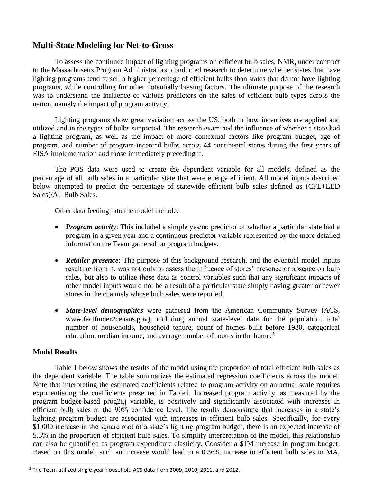# **Multi-State Modeling for Net-to-Gross**

To assess the continued impact of lighting programs on efficient bulb sales, NMR, under contract to the Massachusetts Program Administrators, conducted research to determine whether states that have lighting programs tend to sell a higher percentage of efficient bulbs than states that do not have lighting programs, while controlling for other potentially biasing factors. The ultimate purpose of the research was to understand the influence of various predictors on the sales of efficient bulb types across the nation, namely the impact of program activity.

Lighting programs show great variation across the US, both in how incentives are applied and utilized and in the types of bulbs supported. The research examined the influence of whether a state had a lighting program, as well as the impact of more contextual factors like program budget, age of program, and number of program-incented bulbs across 44 continental states during the first years of EISA implementation and those immediately preceding it.

The POS data were used to create the dependent variable for all models, defined as the percentage of all bulb sales in a particular state that were energy efficient. All model inputs described below attempted to predict the percentage of statewide efficient bulb sales defined as (CFL+LED Sales)/All Bulb Sales.

Other data feeding into the model include:

- *Program activity*: This included a simple yes/no predictor of whether a particular state had a program in a given year and a continuous predictor variable represented by the more detailed information the Team gathered on program budgets.
- **Retailer presence**: The purpose of this background research, and the eventual model inputs resulting from it, was not only to assess the influence of stores' presence or absence on bulb sales, but also to utilize these data as control variables such that any significant impacts of other model inputs would not be a result of a particular state simply having greater or fewer stores in the channels whose bulb sales were reported.
- *State-level demographics* were gathered from the American Community Survey (ACS, www.factfinder2census.gov), including annual state-level data for the population, total number of households, household tenure, count of homes built before 1980, categorical education, median income, and average number of rooms in the home.<sup>3</sup>

## **Model Results**

Table 1 below shows the results of the model using the proportion of total efficient bulb sales as the dependent variable. The table summarizes the estimated regression coefficients across the model. Note that interpreting the estimated coefficients related to program activity on an actual scale requires exponentiating the coefficients presented in Table1. Increased program activity, as measured by the program budget-based prog2i,j variable, is positively and significantly associated with increases in efficient bulb sales at the 90% confidence level. The results demonstrate that increases in a state's lighting program budget are associated with increases in efficient bulb sales. Specifically, for every \$1,000 increase in the square root of a state's lighting program budget, there is an expected increase of 5.5% in the proportion of efficient bulb sales. To simplify interpretation of the model, this relationship can also be quantified as program expenditure elasticity. Consider a \$1M increase in program budget: Based on this model, such an increase would lead to a 0.36% increase in efficient bulb sales in MA,

<sup>&</sup>lt;sup>3</sup> The Team utilized single year household ACS data from 2009, 2010, 2011, and 2012.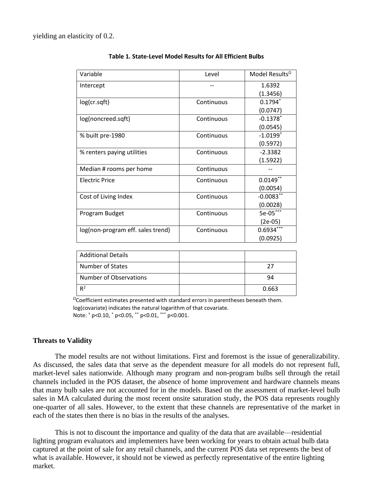yielding an elasticity of 0.2.

| Variable                          | Level      | Model Results <sup>2</sup> |
|-----------------------------------|------------|----------------------------|
| Intercept                         |            | 1.6392                     |
|                                   |            | (1.3456)                   |
| log(cr.sqft)                      | Continuous | $0.1794*$                  |
|                                   |            | (0.0747)                   |
| log(noncreed.sqft)                | Continuous | $-0.1378$ <sup>*</sup>     |
|                                   |            | (0.0545)                   |
| % built pre-1980                  | Continuous | $-1.0199$ <sup>+</sup>     |
|                                   |            | (0.5972)                   |
| % renters paying utilities        | Continuous | $-2.3382$                  |
|                                   |            | (1.5922)                   |
| Median # rooms per home           | Continuous |                            |
| <b>Electric Price</b>             | Continuous | $0.0149$ **                |
|                                   |            | (0.0054)                   |
| Cost of Living Index              | Continuous | $-0.0083**$                |
|                                   |            | (0.0028)                   |
| Program Budget                    | Continuous | 5e-05***                   |
|                                   |            | (2e-05)                    |
| log(non-program eff. sales trend) | Continuous | $0.6934***$                |
|                                   |            | (0.0925)                   |

#### **Table 1. State-Level Model Results for All Efficient Bulbs**

| <b>Additional Details</b> |       |
|---------------------------|-------|
| Number of States          | つフ    |
| Number of Observations    | 94    |
| $R^2$                     | 0.663 |

 $\Omega$ Coefficient estimates presented with standard errors in parentheses beneath them. log(covariate) indicates the natural logarithm of that covariate. Note: † p<0.10, \* p<0.05, \*\* p<0.01, \*\*\* p<0.001.

### **Threats to Validity**

The model results are not without limitations. First and foremost is the issue of generalizability. As discussed, the sales data that serve as the dependent measure for all models do not represent full, market-level sales nationwide. Although many program and non-program bulbs sell through the retail channels included in the POS dataset, the absence of home improvement and hardware channels means that many bulb sales are not accounted for in the models. Based on the assessment of market-level bulb sales in MA calculated during the most recent onsite saturation study, the POS data represents roughly one-quarter of all sales. However, to the extent that these channels are representative of the market in each of the states then there is no bias in the results of the analyses.

This is not to discount the importance and quality of the data that are available—residential lighting program evaluators and implementers have been working for years to obtain actual bulb data captured at the point of sale for any retail channels, and the current POS data set represents the best of what is available. However, it should not be viewed as perfectly representative of the entire lighting market.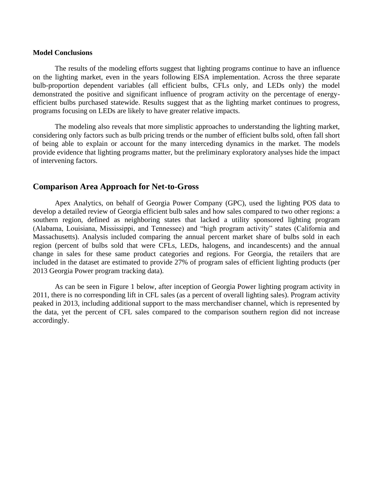#### **Model Conclusions**

The results of the modeling efforts suggest that lighting programs continue to have an influence on the lighting market, even in the years following EISA implementation. Across the three separate bulb-proportion dependent variables (all efficient bulbs, CFLs only, and LEDs only) the model demonstrated the positive and significant influence of program activity on the percentage of energyefficient bulbs purchased statewide. Results suggest that as the lighting market continues to progress, programs focusing on LEDs are likely to have greater relative impacts.

The modeling also reveals that more simplistic approaches to understanding the lighting market, considering only factors such as bulb pricing trends or the number of efficient bulbs sold, often fall short of being able to explain or account for the many interceding dynamics in the market. The models provide evidence that lighting programs matter, but the preliminary exploratory analyses hide the impact of intervening factors.

### **Comparison Area Approach for Net-to-Gross**

Apex Analytics, on behalf of Georgia Power Company (GPC), used the lighting POS data to develop a detailed review of Georgia efficient bulb sales and how sales compared to two other regions: a southern region, defined as neighboring states that lacked a utility sponsored lighting program (Alabama, Louisiana, Mississippi, and Tennessee) and "high program activity" states (California and Massachusetts). Analysis included comparing the annual percent market share of bulbs sold in each region (percent of bulbs sold that were CFLs, LEDs, halogens, and incandescents) and the annual change in sales for these same product categories and regions. For Georgia, the retailers that are included in the dataset are estimated to provide 27% of program sales of efficient lighting products (per 2013 Georgia Power program tracking data).

As can be seen in Figure 1 below, after inception of Georgia Power lighting program activity in 2011, there is no corresponding lift in CFL sales (as a percent of overall lighting sales). Program activity peaked in 2013, including additional support to the mass merchandiser channel, which is represented by the data, yet the percent of CFL sales compared to the comparison southern region did not increase accordingly.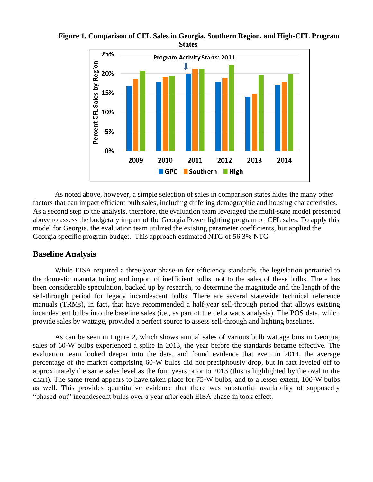

**Figure 1. Comparison of CFL Sales in Georgia, Southern Region, and High-CFL Program States**

As noted above, however, a simple selection of sales in comparison states hides the many other factors that can impact efficient bulb sales, including differing demographic and housing characteristics. As a second step to the analysis, therefore, the evaluation team leveraged the multi-state model presented above to assess the budgetary impact of the Georgia Power lighting program on CFL sales. To apply this model for Georgia, the evaluation team utilized the existing parameter coefficients, but applied the Georgia specific program budget. This approach estimated NTG of 56.3% NTG

## **Baseline Analysis**

While EISA required a three-year phase-in for efficiency standards, the legislation pertained to the domestic manufacturing and import of inefficient bulbs, not to the sales of these bulbs. There has been considerable speculation, backed up by research, to determine the magnitude and the length of the sell-through period for legacy incandescent bulbs. There are several statewide technical reference manuals (TRMs), in fact, that have recommended a half-year sell-through period that allows existing incandescent bulbs into the baseline sales (i.e., as part of the delta watts analysis). The POS data, which provide sales by wattage, provided a perfect source to assess sell-through and lighting baselines.

As can be seen in Figure 2, which shows annual sales of various bulb wattage bins in Georgia, sales of 60-W bulbs experienced a spike in 2013, the year before the standards became effective. The evaluation team looked deeper into the data, and found evidence that even in 2014, the average percentage of the market comprising 60-W bulbs did not precipitously drop, but in fact leveled off to approximately the same sales level as the four years prior to 2013 (this is highlighted by the oval in the chart). The same trend appears to have taken place for 75-W bulbs, and to a lesser extent, 100-W bulbs as well. This provides quantitative evidence that there was substantial availability of supposedly "phased-out" incandescent bulbs over a year after each EISA phase-in took effect.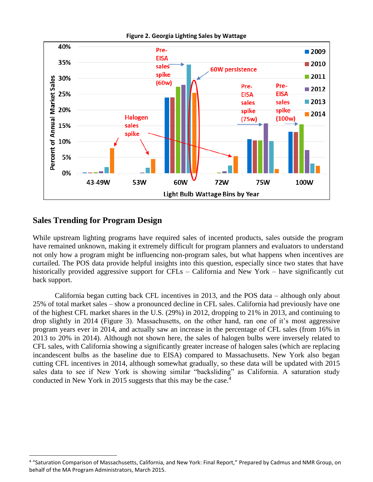

#### **Figure 2. Georgia Lighting Sales by Wattage**

# **Sales Trending for Program Design**

While upstream lighting programs have required sales of incented products, sales outside the program have remained unknown, making it extremely difficult for program planners and evaluators to understand not only how a program might be influencing non-program sales, but what happens when incentives are curtailed. The POS data provide helpful insights into this question, especially since two states that have historically provided aggressive support for CFLs – California and New York – have significantly cut back support.

California began cutting back CFL incentives in 2013, and the POS data – although only about 25% of total market sales – show a pronounced decline in CFL sales. California had previously have one of the highest CFL market shares in the U.S. (29%) in 2012, dropping to 21% in 2013, and continuing to drop slightly in 2014 [\(Figure 3\)](#page-6-0). Massachusetts, on the other hand, ran one of it's most aggressive program years ever in 2014, and actually saw an increase in the percentage of CFL sales (from 16% in 2013 to 20% in 2014). Although not shown here, the sales of halogen bulbs were inversely related to CFL sales, with California showing a significantly greater increase of halogen sales (which are replacing incandescent bulbs as the baseline due to EISA) compared to Massachusetts. New York also began cutting CFL incentives in 2014, although somewhat gradually, so these data will be updated with 2015 sales data to see if New York is showing similar "backsliding" as California. A saturation study conducted in New York in 2015 suggests that this may be the case.<sup>4</sup>

<sup>&</sup>lt;sup>4</sup> "Saturation Comparison of Massachusetts, California, and New York: Final Report," Prepared by Cadmus and NMR Group, on behalf of the MA Program Administrators, March 2015.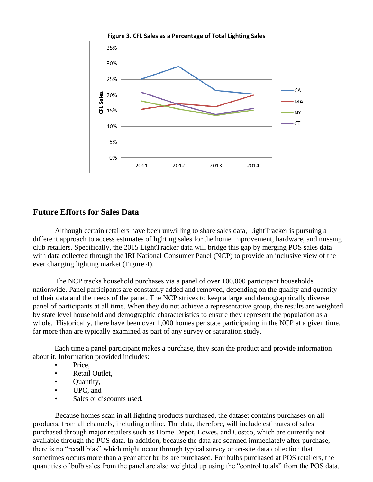<span id="page-6-0"></span>

**Figure 3. CFL Sales as a Percentage of Total Lighting Sales**

## **Future Efforts for Sales Data**

Although certain retailers have been unwilling to share sales data, LightTracker is pursuing a different approach to access estimates of lighting sales for the home improvement, hardware, and missing club retailers. Specifically, the 2015 LightTracker data will bridge this gap by merging POS sales data with data collected through the IRI National Consumer Panel (NCP) to provide an inclusive view of the ever changing lighting market [\(Figure 4\)](#page-7-0).

The NCP tracks household purchases via a panel of over 100,000 participant households nationwide. Panel participants are constantly added and removed, depending on the quality and quantity of their data and the needs of the panel. The NCP strives to keep a large and demographically diverse panel of participants at all time. When they do not achieve a representative group, the results are weighted by state level household and demographic characteristics to ensure they represent the population as a whole. Historically, there have been over 1,000 homes per state participating in the NCP at a given time, far more than are typically examined as part of any survey or saturation study.

Each time a panel participant makes a purchase, they scan the product and provide information about it. Information provided includes:

- Price.
- Retail Outlet.
- Quantity,
- UPC, and
- Sales or discounts used.

Because homes scan in all lighting products purchased, the dataset contains purchases on all products, from all channels, including online. The data, therefore, will include estimates of sales purchased through major retailers such as Home Depot, Lowes, and Costco, which are currently not available through the POS data. In addition, because the data are scanned immediately after purchase, there is no "recall bias" which might occur through typical survey or on-site data collection that sometimes occurs more than a year after bulbs are purchased. For bulbs purchased at POS retailers, the quantities of bulb sales from the panel are also weighted up using the "control totals" from the POS data.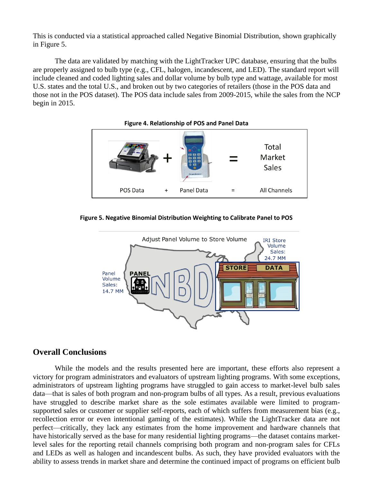This is conducted via a statistical approached called Negative Binomial Distribution, shown graphically in [Figure 5.](#page-7-1)

The data are validated by matching with the LightTracker UPC database, ensuring that the bulbs are properly assigned to bulb type (e.g., CFL, halogen, incandescent, and LED). The standard report will include cleaned and coded lighting sales and dollar volume by bulb type and wattage, available for most U.S. states and the total U.S., and broken out by two categories of retailers (those in the POS data and those not in the POS dataset). The POS data include sales from 2009-2015, while the sales from the NCP begin in 2015.

<span id="page-7-0"></span>

<span id="page-7-1"></span>**Figure 5. Negative Binomial Distribution Weighting to Calibrate Panel to POS**



# **Overall Conclusions**

While the models and the results presented here are important, these efforts also represent a victory for program administrators and evaluators of upstream lighting programs. With some exceptions, administrators of upstream lighting programs have struggled to gain access to market-level bulb sales data—that is sales of both program and non-program bulbs of all types. As a result, previous evaluations have struggled to describe market share as the sole estimates available were limited to programsupported sales or customer or supplier self-reports, each of which suffers from measurement bias (e.g., recollection error or even intentional gaming of the estimates). While the LightTracker data are not perfect—critically, they lack any estimates from the home improvement and hardware channels that have historically served as the base for many residential lighting programs—the dataset contains marketlevel sales for the reporting retail channels comprising both program and non-program sales for CFLs and LEDs as well as halogen and incandescent bulbs. As such, they have provided evaluators with the ability to assess trends in market share and determine the continued impact of programs on efficient bulb